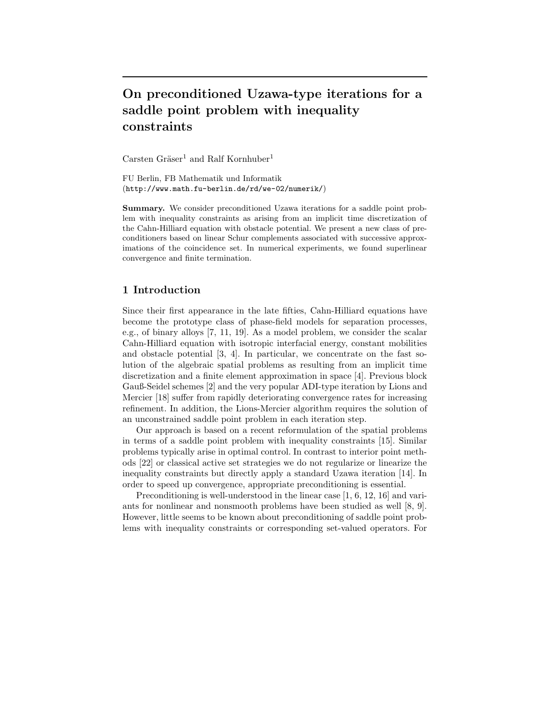# **On preconditioned Uzawa-type iterations for a saddle point problem with inequality constraints**

Carsten Gräser<sup>1</sup> and Ralf Kornhuber<sup>1</sup>

FU Berlin, FB Mathematik und Informatik (http://www.math.fu-berlin.de/rd/we-02/numerik/)

**Summary.** We consider preconditioned Uzawa iterations for a saddle point problem with inequality constraints as arising from an implicit time discretization of the Cahn-Hilliard equation with obstacle potential. We present a new class of preconditioners based on linear Schur complements associated with successive approximations of the coincidence set. In numerical experiments, we found superlinear convergence and finite termination.

## **1 Introduction**

Since their first appearance in the late fifties, Cahn-Hilliard equations have become the prototype class of phase-field models for separation processes, e.g., of binary alloys [7, 11, 19]. As a model problem, we consider the scalar Cahn-Hilliard equation with isotropic interfacial energy, constant mobilities and obstacle potential [3, 4]. In particular, we concentrate on the fast solution of the algebraic spatial problems as resulting from an implicit time discretization and a finite element approximation in space [4]. Previous block Gauß-Seidel schemes [2] and the very popular ADI-type iteration by Lions and Mercier [18] suffer from rapidly deteriorating convergence rates for increasing refinement. In addition, the Lions-Mercier algorithm requires the solution of an unconstrained saddle point problem in each iteration step.

Our approach is based on a recent reformulation of the spatial problems in terms of a saddle point problem with inequality constraints [15]. Similar problems typically arise in optimal control. In contrast to interior point methods [22] or classical active set strategies we do not regularize or linearize the inequality constraints but directly apply a standard Uzawa iteration [14]. In order to speed up convergence, appropriate preconditioning is essential.

Preconditioning is well-understood in the linear case [1, 6, 12, 16] and variants for nonlinear and nonsmooth problems have been studied as well [8, 9]. However, little seems to be known about preconditioning of saddle point problems with inequality constraints or corresponding set-valued operators. For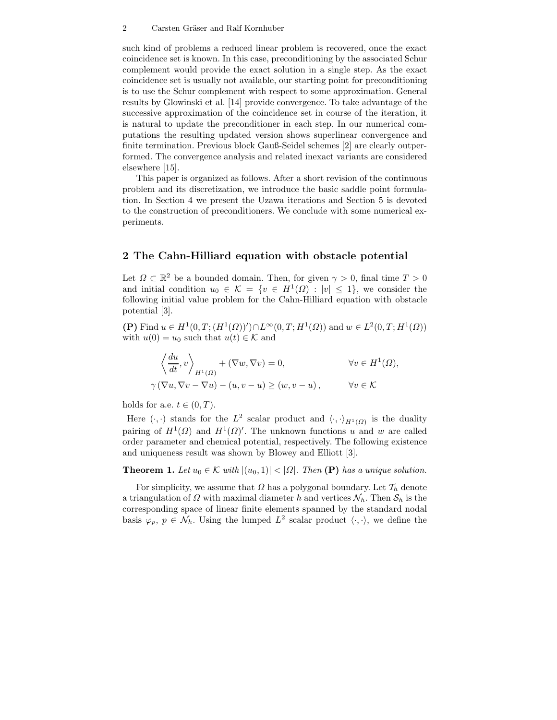#### 2 Carsten Gräser and Ralf Kornhuber

such kind of problems a reduced linear problem is recovered, once the exact coincidence set is known. In this case, preconditioning by the associated Schur complement would provide the exact solution in a single step. As the exact coincidence set is usually not available, our starting point for preconditioning is to use the Schur complement with respect to some approximation. General results by Glowinski et al. [14] provide convergence. To take advantage of the successive approximation of the coincidence set in course of the iteration, it is natural to update the preconditioner in each step. In our numerical computations the resulting updated version shows superlinear convergence and finite termination. Previous block Gauß-Seidel schemes [2] are clearly outperformed. The convergence analysis and related inexact variants are considered elsewhere [15].

This paper is organized as follows. After a short revision of the continuous problem and its discretization, we introduce the basic saddle point formulation. In Section 4 we present the Uzawa iterations and Section 5 is devoted to the construction of preconditioners. We conclude with some numerical experiments.

#### **2 The Cahn-Hilliard equation with obstacle potential**

Let  $\Omega \subset \mathbb{R}^2$  be a bounded domain. Then, for given  $\gamma > 0$ , final time  $T > 0$ and initial condition  $u_0 \in \mathcal{K} = \{v \in H^1(\Omega) : |v| \leq 1\}$ , we consider the following initial value problem for the Cahn-Hilliard equation with obstacle potential [3].

**(P)** Find  $u \in H^1(0, T; (H^1(\Omega))') ∩ L^∞(0, T; H^1(\Omega))$  and  $w \in L^2(0, T; H^1(\Omega))$ with  $u(0) = u_0$  such that  $u(t) \in \mathcal{K}$  and

$$
\left\langle \frac{du}{dt}, v \right\rangle_{H^1(\Omega)} + (\nabla w, \nabla v) = 0, \qquad \forall v \in H^1(\Omega),
$$
  

$$
\gamma (\nabla u, \nabla v - \nabla u) - (u, v - u) \ge (w, v - u), \qquad \forall v \in \mathcal{K}
$$

holds for a.e.  $t \in (0, T)$ .

Here  $(\cdot, \cdot)$  stands for the  $L^2$  scalar product and  $\langle \cdot, \cdot \rangle_{H^1(\Omega)}$  is the duality pairing of  $H^1(\Omega)$  and  $H^1(\Omega)'$ . The unknown functions u and w are called order parameter and chemical potential, respectively. The following existence and uniqueness result was shown by Blowey and Elliott [3].

**Theorem 1.** *Let*  $u_0 \in \mathcal{K}$  *with*  $|(u_0, 1)| < |\Omega|$ *. Then* **(P)** *has a unique solution.* 

For simplicity, we assume that  $\Omega$  has a polygonal boundary. Let  $\mathcal{T}_h$  denote a triangulation of  $\Omega$  with maximal diameter h and vertices  $\mathcal{N}_h$ . Then  $\mathcal{S}_h$  is the corresponding space of linear finite elements spanned by the standard nodal basis  $\varphi_p$ ,  $p \in \mathcal{N}_h$ . Using the lumped  $L^2$  scalar product  $\langle \cdot, \cdot \rangle$ , we define the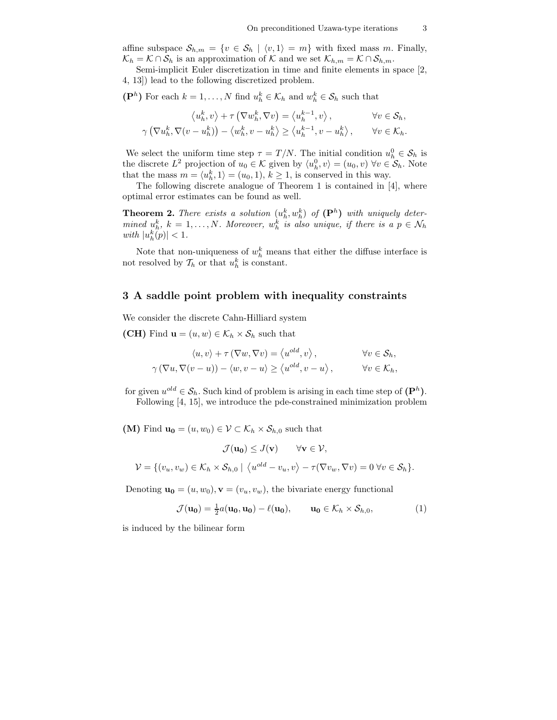affine subspace  $S_{h,m} = \{v \in S_h \mid \langle v, 1 \rangle = m\}$  with fixed mass m. Finally,  $\mathcal{K}_h = \mathcal{K} \cap \mathcal{S}_h$  is an approximation of  $\mathcal{K}$  and we set  $\mathcal{K}_{h,m} = \mathcal{K} \cap \mathcal{S}_{h,m}$ .

Semi-implicit Euler discretization in time and finite elements in space [2, 4, 13]) lead to the following discretized problem.

( $\mathbf{P}^h$ ) For each  $k = 1, ..., N$  find  $u_h^k \in \mathcal{K}_h$  and  $w_h^k \in \mathcal{S}_h$  such that

$$
\langle u_h^k, v \rangle + \tau \left( \nabla w_h^k, \nabla v \right) = \langle u_h^{k-1}, v \rangle, \qquad \forall v \in \mathcal{S}_h,
$$
  

$$
\gamma \left( \nabla u_h^k, \nabla (v - u_h^k) \right) - \langle w_h^k, v - u_h^k \rangle \ge \langle u_h^{k-1}, v - u_h^k \rangle, \qquad \forall v \in \mathcal{K}_h.
$$

We select the uniform time step  $\tau = T/N$ . The initial condition  $u_h^0 \in S_h$  is the discrete  $L^2$  projection of  $u_0 \in \mathcal{K}$  given by  $\langle u_h^0, v \rangle = (u_0, v) \,\forall v \in \mathcal{S}_h$ . Note that the mass  $m = \langle u_h^k, 1 \rangle = (u_0, 1), k \ge 1$ , is conserved in this way.

The following discrete analogue of Theorem 1 is contained in [4], where optimal error estimates can be found as well.

**Theorem 2.** There exists a solution  $(u_h^k, w_h^k)$  of  $(\mathbf{P}^h)$  with uniquely deter*mined*  $u_h^k$ ,  $k = 1, ..., N$ . Moreover,  $w_h^k$  *is also unique, if there is a*  $p \in \mathcal{N}_h$  $with \, |u_h^k(p)| < 1.$ 

Note that non-uniqueness of  $w_h^k$  means that either the diffuse interface is not resolved by  $\mathcal{T}_h$  or that  $u_h^k$  is constant.

#### **3 A saddle point problem with inequality constraints**

We consider the discrete Cahn-Hilliard system

**(CH)** Find  $\mathbf{u} = (u, w) \in \mathcal{K}_h \times \mathcal{S}_h$  such that

$$
\langle u, v \rangle + \tau (\nabla w, \nabla v) = \langle u^{\text{old}}, v \rangle, \qquad \forall v \in \mathcal{S}_h,
$$
  

$$
\gamma (\nabla u, \nabla (v - u)) - \langle w, v - u \rangle \ge \langle u^{\text{old}}, v - u \rangle, \qquad \forall v \in \mathcal{K}_h,
$$

for given  $u^{old} \in \mathcal{S}_h$ . Such kind of problem is arising in each time step of  $(\mathbf{P}^h)$ . Following [4, 15], we introduce the pde-constrained minimization problem

**(M)** Find  $\mathbf{u_0} = (u, w_0) \in \mathcal{V} \subset \mathcal{K}_h \times \mathcal{S}_{h,0}$  such that

$$
\mathcal{J}(\mathbf{u_0}) \leq J(\mathbf{v}) \qquad \forall \mathbf{v} \in \mathcal{V},
$$
  

$$
\mathcal{V} = \{ (v_u, v_w) \in \mathcal{K}_h \times \mathcal{S}_{h,0} \mid \langle u^{old} - v_u, v \rangle - \tau(\nabla v_w, \nabla v) = 0 \ \forall v \in \mathcal{S}_h \}.
$$

Denoting  $\mathbf{u_0} = (u, w_0), \mathbf{v} = (v_u, v_w)$ , the bivariate energy functional

$$
\mathcal{J}(\mathbf{u_0}) = \frac{1}{2}a(\mathbf{u_0}, \mathbf{u_0}) - \ell(\mathbf{u_0}), \qquad \mathbf{u_0} \in \mathcal{K}_h \times \mathcal{S}_{h,0}, \tag{1}
$$

is induced by the bilinear form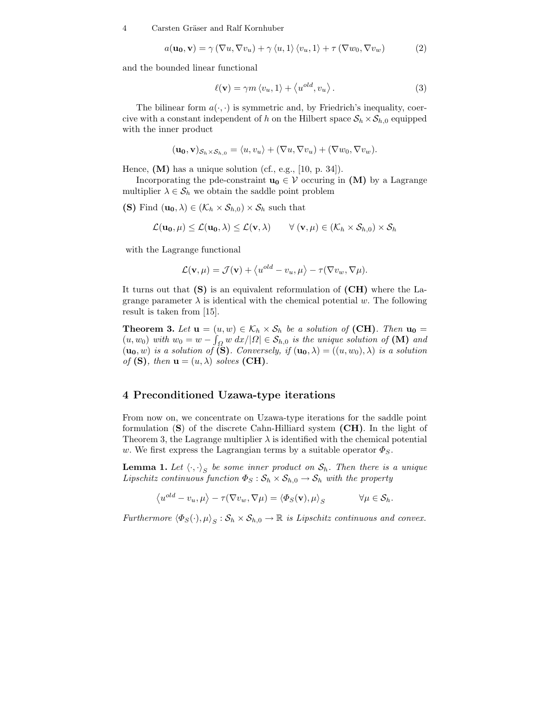4 Carsten Gräser and Ralf Kornhuber

$$
a(\mathbf{u_0}, \mathbf{v}) = \gamma (\nabla u, \nabla v_u) + \gamma \langle u, 1 \rangle \langle v_u, 1 \rangle + \tau (\nabla w_0, \nabla v_w)
$$
 (2)

and the bounded linear functional

$$
\ell(\mathbf{v}) = \gamma m \langle v_u, 1 \rangle + \langle u^{old}, v_u \rangle.
$$
 (3)

The bilinear form  $a(\cdot, \cdot)$  is symmetric and, by Friedrich's inequality, coercive with a constant independent of h on the Hilbert space  $S_h \times S_{h,0}$  equipped with the inner product

$$
(\mathbf{u_0}, \mathbf{v})_{\mathcal{S}_h \times \mathcal{S}_{h,0}} = \langle u, v_u \rangle + (\nabla u, \nabla v_u) + (\nabla w_0, \nabla v_w).
$$

Hence,  $(M)$  has a unique solution (cf., e.g., [10, p. 34]).

Incorporating the pde-constraint  $\mathbf{u}_0 \in \mathcal{V}$  occuring in **(M)** by a Lagrange multiplier  $\lambda \in \mathcal{S}_h$  we obtain the saddle point problem

**(S)** Find  $(\mathbf{u_0}, \lambda) \in (\mathcal{K}_h \times \mathcal{S}_{h,0}) \times \mathcal{S}_h$  such that

$$
\mathcal{L}(\mathbf{u_0}, \mu) \leq \mathcal{L}(\mathbf{u_0}, \lambda) \leq \mathcal{L}(\mathbf{v}, \lambda) \qquad \forall (\mathbf{v}, \mu) \in (\mathcal{K}_h \times \mathcal{S}_{h,0}) \times \mathcal{S}_h
$$

with the Lagrange functional

$$
\mathcal{L}(\mathbf{v},\mu) = \mathcal{J}(\mathbf{v}) + \langle u^{old} - v_u, \mu \rangle - \tau(\nabla v_w, \nabla \mu).
$$

It turns out that **(S)** is an equivalent reformulation of **(CH)** where the Lagrange parameter  $\lambda$  is identical with the chemical potential w. The following result is taken from [15].

**Theorem 3.** Let  $\mathbf{u} = (u, w) \in \mathcal{K}_h \times \mathcal{S}_h$  be a solution of **(CH)***. Then*  $\mathbf{u_0} =$  $(u, w_0)$  *with*  $w_0 = w - \int_{\Omega} w \, dx / |\Omega| \in S_{h,0}$  *is the unique solution of* **(M)** *and*  $(\mathbf{u_0}, w)$  *is a solution of* (S)*. Conversely, if*  $(\mathbf{u_0}, \lambda) = ((u, w_0), \lambda)$  *is a solution of* (**S**)*, then*  $\mathbf{u} = (u, \lambda)$  *solves* (**CH**)*.* 

### **4 Preconditioned Uzawa-type iterations**

From now on, we concentrate on Uzawa-type iterations for the saddle point formulation (**S**) of the discrete Cahn-Hilliard system **(CH)**. In the light of Theorem 3, the Lagrange multiplier  $\lambda$  is identified with the chemical potential w. We first express the Lagrangian terms by a suitable operator  $\Phi_S$ .

**Lemma 1.** Let  $\langle \cdot, \cdot \rangle_S$  be some inner product on  $S_h$ . Then there is a unique *Lipschitz continuous function*  $\Phi_S : \mathcal{S}_h \times \mathcal{S}_{h,0} \to \mathcal{S}_h$  *with the property* 

$$
\left\langle u^{old} - v_u, \mu \right\rangle - \tau (\nabla v_w, \nabla \mu) = \left\langle \Phi_S(\mathbf{v}), \mu \right\rangle_S \qquad \forall \mu \in \mathcal{S}_h.
$$

*Furthermore*  $\langle \Phi_S(\cdot), \mu \rangle_S : \mathcal{S}_h \times \mathcal{S}_{h,0} \to \mathbb{R}$  *is Lipschitz continuous and convex.*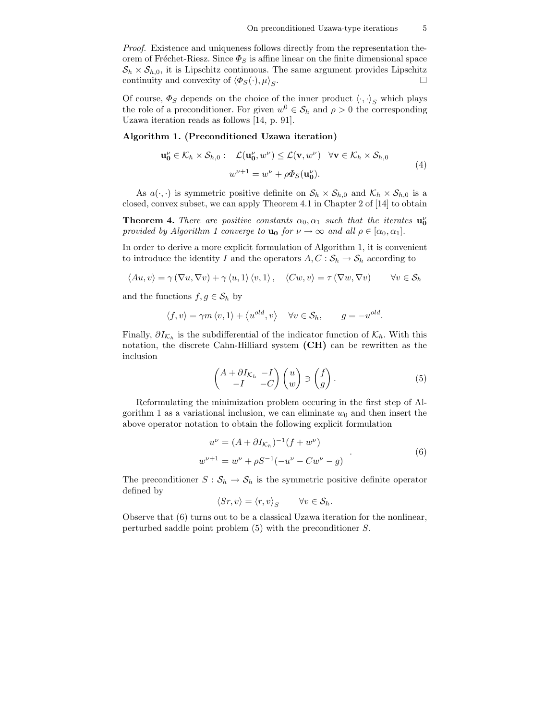*Proof.* Existence and uniqueness follows directly from the representation theorem of Fréchet-Riesz. Since  $\Phi_S$  is affine linear on the finite dimensional space  $S_h \times S_{h,0}$ , it is Lipschitz continuous. The same argument provides Lipschitz continuity and convexity of  $\langle \Phi_{\varepsilon}(\cdot), u \rangle_{\varepsilon}$ continuity and convexity of  $\langle \Phi_S(\cdot), \mu \rangle_S$ .  $S$ .

Of course,  $\Phi_S$  depends on the choice of the inner product  $\langle \cdot, \cdot \rangle_S$  which plays the role of a preconditioner. For given  $w^0 \in S_h$  and  $\rho > 0$  the corresponding Uzawa iteration reads as follows [14, p. 91].

#### **Algorithm 1. (Preconditioned Uzawa iteration)**

$$
\mathbf{u_0}^{\nu} \in \mathcal{K}_h \times \mathcal{S}_{h,0} : \mathcal{L}(\mathbf{u_0}^{\nu}, w^{\nu}) \le \mathcal{L}(\mathbf{v}, w^{\nu}) \quad \forall \mathbf{v} \in \mathcal{K}_h \times \mathcal{S}_{h,0}
$$
  

$$
w^{\nu+1} = w^{\nu} + \rho \Phi_S(\mathbf{u_0}^{\nu}).
$$
 (4)

As  $a(\cdot, \cdot)$  is symmetric positive definite on  $S_h \times S_{h,0}$  and  $\mathcal{K}_h \times S_{h,0}$  is a closed, convex subset, we can apply Theorem 4.1 in Chapter 2 of [14] to obtain

**Theorem 4.** *There are positive constants*  $\alpha_0, \alpha_1$  *such that the iterates*  $\mathbf{u}_0^{\nu}$ *provided by Algorithm 1 converge to*  $\mathbf{u_0}$  *for*  $\nu \to \infty$  *and all*  $\rho \in [\alpha_0, \alpha_1]$ *.* 

In order to derive a more explicit formulation of Algorithm 1, it is convenient to introduce the identity I and the operators  $A, C : \mathcal{S}_h \to \mathcal{S}_h$  according to

$$
\langle Au, v \rangle = \gamma \left( \nabla u, \nabla v \right) + \gamma \langle u, 1 \rangle \langle v, 1 \rangle, \quad \langle Cw, v \rangle = \tau \left( \nabla w, \nabla v \right) \qquad \forall v \in \mathcal{S}_h
$$

and the functions  $f, g \in \mathcal{S}_h$  by

$$
\langle f, v \rangle = \gamma m \langle v, 1 \rangle + \langle u^{old}, v \rangle \quad \forall v \in S_h, \qquad g = -u^{old}.
$$

Finally,  $\partial I_{\mathcal{K}_h}$  is the subdifferential of the indicator function of  $\mathcal{K}_h$ . With this notation, the discrete Cahn-Hilliard system **(CH)** can be rewritten as the inclusion

$$
\begin{pmatrix} A + \partial I_{\mathcal{K}_h} & -I \\ -I & -C \end{pmatrix} \begin{pmatrix} u \\ w \end{pmatrix} \ni \begin{pmatrix} f \\ g \end{pmatrix} . \tag{5}
$$

Reformulating the minimization problem occuring in the first step of Algorithm 1 as a variational inclusion, we can eliminate  $w_0$  and then insert the above operator notation to obtain the following explicit formulation

$$
u^{\nu} = (A + \partial I_{\mathcal{K}_h})^{-1} (f + w^{\nu})
$$
  

$$
w^{\nu+1} = w^{\nu} + \rho S^{-1} (-u^{\nu} - Cw^{\nu} - g)
$$
 (6)

The preconditioner  $S : \mathcal{S}_h \to \mathcal{S}_h$  is the symmetric positive definite operator defined by

$$
\langle Sr, v \rangle = \langle r, v \rangle_S \qquad \forall v \in \mathcal{S}_h.
$$

Observe that (6) turns out to be a classical Uzawa iteration for the nonlinear, perturbed saddle point problem (5) with the preconditioner S.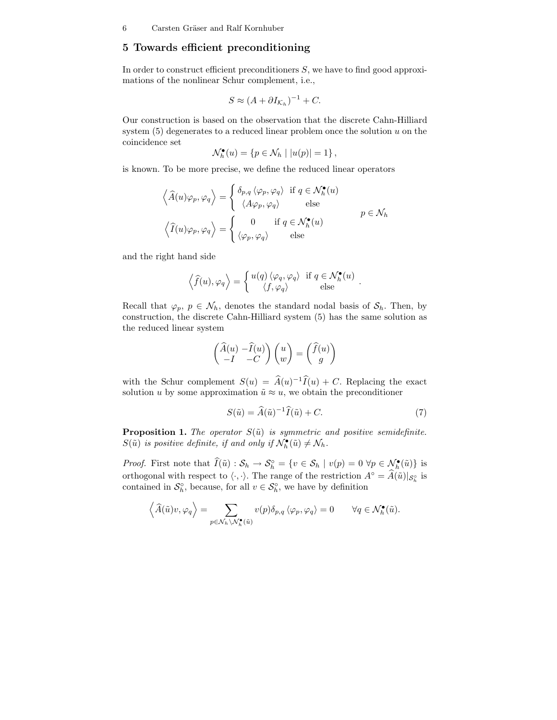### **5 Towards efficient preconditioning**

In order to construct efficient preconditioners  $S$ , we have to find good approximations of the nonlinear Schur complement, i.e.,

$$
S \approx (A + \partial I_{\mathcal{K}_h})^{-1} + C.
$$

Our construction is based on the observation that the discrete Cahn-Hilliard system  $(5)$  degenerates to a reduced linear problem once the solution u on the coincidence set

$$
\mathcal{N}_h^{\bullet}(u) = \{ p \in \mathcal{N}_h \mid |u(p)| = 1 \},\
$$

is known. To be more precise, we define the reduced linear operators

$$
\left\langle \widehat{A}(u)\varphi_p, \varphi_q \right\rangle = \begin{cases} \delta_{p,q} \left\langle \varphi_p, \varphi_q \right\rangle & \text{if } q \in \mathcal{N}_h^{\bullet}(u) \\ \left\langle A\varphi_p, \varphi_q \right\rangle & \text{else} \end{cases}
$$

$$
\left\langle \widehat{I}(u)\varphi_p, \varphi_q \right\rangle = \begin{cases} 0 & \text{if } q \in \mathcal{N}_h^{\bullet}(u) \\ \left\langle \varphi_p, \varphi_q \right\rangle & \text{else} \end{cases}
$$

and the right hand side

$$
\left\langle \widehat{f}(u),\varphi_q\right\rangle = \left\{ \begin{matrix} u(q)\left\langle \varphi_q,\varphi_q\right\rangle & \text{if } q\in \mathcal{N}_h^\bullet(u) \\ \left\langle f,\varphi_q\right\rangle & \text{else} \end{matrix} \right. .
$$

Recall that  $\varphi_p, p \in \mathcal{N}_h$ , denotes the standard nodal basis of  $\mathcal{S}_h$ . Then, by construction, the discrete Cahn-Hilliard system (5) has the same solution as the reduced linear system

$$
\begin{pmatrix} \widehat{A}(u) - \widehat{I}(u) \\ -I & -C \end{pmatrix} \begin{pmatrix} u \\ w \end{pmatrix} = \begin{pmatrix} \widehat{f}(u) \\ g \end{pmatrix}
$$

with the Schur complement  $S(u) = \hat{A}(u)^{-1}\hat{I}(u) + C$ . Replacing the exact solution u by some approximation  $\tilde{u} \approx u$ , we obtain the preconditioner

$$
S(\tilde{u}) = \hat{A}(\tilde{u})^{-1}\hat{I}(\tilde{u}) + C.
$$
 (7)

**Proposition 1.** *The operator*  $S(\tilde{u})$  *is symmetric and positive semidefinite.*  $S(\tilde{u})$  is positive definite, if and only if  $\mathcal{N}_h^{\bullet}(\tilde{u}) \neq \mathcal{N}_h$ .

*Proof.* First note that  $I(\tilde{u})$  :  $S_h \to S_h^{\circ} = \{v \in S_h \mid v(p) = 0 \,\forall p \in \mathcal{N}_h^{\bullet}(\tilde{u})\}$  is orthogonal with respect to  $\langle \cdot, \cdot \rangle$ . The range of the restriction  $A^{\circ} = A(\tilde{u})|_{\mathcal{S}_{h}^{\circ}}$  is contained in  $\mathcal{S}_h^{\circ}$ , because, for all  $v \in \mathcal{S}_h^{\circ}$ , we have by definition

$$
\left\langle \widehat{A}(\tilde{u})v, \varphi_q \right\rangle = \sum_{p \in \mathcal{N}_h \backslash \mathcal{N}_h^{\bullet}(\tilde{u})} v(p) \delta_{p,q} \left\langle \varphi_p, \varphi_q \right\rangle = 0 \qquad \forall q \in \mathcal{N}_h^{\bullet}(\tilde{u}).
$$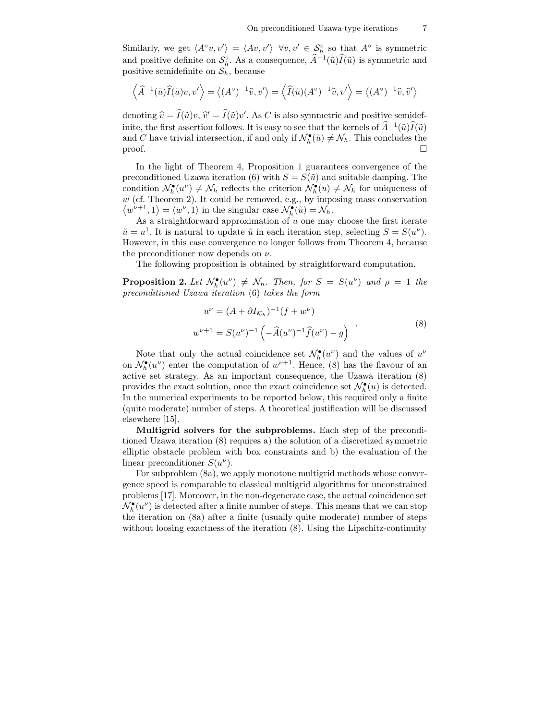Similarly, we get  $\langle A^{\circ}v, v' \rangle = \langle Av, v' \rangle \ \forall v, v' \in \mathcal{S}_h^{\circ}$  so that  $A^{\circ}$  is symmetric and positive definite on  $S_h^{\circ}$ . As a consequence,  $\hat{A}^{-1}(\tilde{u})\hat{I}(\tilde{u})$  is symmetric and positive semidefinite on  $S_h$ , because

$$
\left\langle \widehat{A}^{-1}(\tilde{u})\widehat{I}(\tilde{u})v,v'\right\rangle = \left\langle (A^{\circ})^{-1}\widehat{v},v'\right\rangle = \left\langle \widehat{I}(\tilde{u})(A^{\circ})^{-1}\widehat{v},v'\right\rangle = \left\langle (A^{\circ})^{-1}\widehat{v},\widehat{v}'\right\rangle
$$

denoting  $\hat{v} = I(\tilde{u})v$ ,  $\hat{v}' = I(\tilde{u})v'$ . As C is also symmetric and positive semidefinite, the first assertion follows. It is easy to see that the kernels of  $\hat{A}^{-1}(\tilde{u})\hat{I}(\tilde{u})$ and C have trivial intersection, if and only if  $\mathcal{N}_h^{\bullet}(\tilde{u}) \neq \mathcal{N}_h$ . This concludes the  $\Box$  $\Box$ 

In the light of Theorem 4, Proposition 1 guarantees convergence of the preconditioned Uzawa iteration (6) with  $S = S(\tilde{u})$  and suitable damping. The condition  $\mathcal{N}_h^{\bullet}(u^{\nu}) \neq \mathcal{N}_h$  reflects the criterion  $\mathcal{N}_h^{\bullet}(u) \neq \mathcal{N}_h$  for uniqueness of  $w$  (cf. Theorem 2). It could be removed, e.g., by imposing mass conservation  $\langle w^{\nu+1}, 1 \rangle = \langle w^{\nu}, 1 \rangle$  in the singular case  $\mathcal{N}_h^{\bullet}(\tilde{u}) = \mathcal{N}_h$ .

As a straightforward approximation of  $u$  one may choose the first iterate  $\tilde{u} = u^1$ . It is natural to update  $\tilde{u}$  in each iteration step, selecting  $S = S(u^{\nu})$ . However, in this case convergence no longer follows from Theorem 4, because the preconditioner now depends on  $\nu$ .

The following proposition is obtained by straightforward computation.

**Proposition 2.** Let  $\mathcal{N}_h^{\bullet}(u^{\nu}) \neq \mathcal{N}_h$ . Then, for  $S = S(u^{\nu})$  and  $\rho = 1$  the *preconditioned Uzawa iteration* (6) *takes the form*

$$
u^{\nu} = (A + \partial I_{\mathcal{K}_h})^{-1} (f + w^{\nu})
$$
  

$$
w^{\nu+1} = S(u^{\nu})^{-1} \left( -\widehat{A}(u^{\nu})^{-1} \widehat{f}(u^{\nu}) - g \right)
$$
 (8)

Note that only the actual coincidence set  $\mathcal{N}_h^{\bullet}(u^{\nu})$  and the values of  $u^{\nu}$ on  $\mathcal{N}_h^{\bullet}(u^{\nu})$  enter the computation of  $w^{\nu+1}$ . Hence, (8) has the flavour of an active set strategy. As an important consequence, the Uzawa iteration (8) provides the exact solution, once the exact coincidence set  $\mathcal{N}_h^{\bullet}(u)$  is detected. In the numerical experiments to be reported below, this required only a finite (quite moderate) number of steps. A theoretical justification will be discussed elsewhere [15].

**Multigrid solvers for the subproblems.** Each step of the preconditioned Uzawa iteration (8) requires a) the solution of a discretized symmetric elliptic obstacle problem with box constraints and b) the evaluation of the linear preconditioner  $S(u^{\nu})$ .

For subproblem (8a), we apply monotone multigrid methods whose convergence speed is comparable to classical multigrid algorithms for unconstrained problems [17]. Moreover, in the non-degenerate case, the actual coincidence set  $\mathcal{N}_h^{\bullet}(u^{\nu})$  is detected after a finite number of steps. This means that we can stop the iteration on (8a) after a finite (usually quite moderate) number of steps without loosing exactness of the iteration (8). Using the Lipschitz-continuity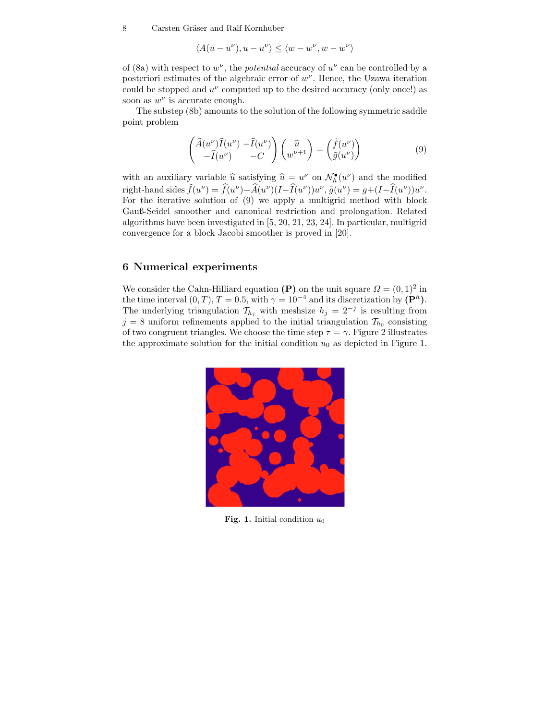8 Carsten Gräser and Ralf Kornhuber

$$
\langle A(u-u^\nu),u-u^\nu\rangle\leq \langle w-w^\nu,w-w^\nu\rangle
$$

of (8a) with respect to  $w^{\nu}$ , the *potential* accuracy of  $u^{\nu}$  can be controlled by a posteriori estimates of the algebraic error of  $w^{\nu}$ . Hence, the Uzawa iteration could be stopped and  $u^{\nu}$  computed up to the desired accuracy (only once!) as soon as  $w^{\nu}$  is accurate enough.

The substep (8b) amounts to the solution of the following symmetric saddle point problem

$$
\begin{pmatrix}\n\widehat{A}(u^{\nu})\widehat{I}(u^{\nu}) - \widehat{I}(u^{\nu}) \\
-\widehat{I}(u^{\nu}) & -C\n\end{pmatrix}\n\begin{pmatrix}\n\widehat{u} \\
w^{\nu+1}\n\end{pmatrix} = \begin{pmatrix}\n\widetilde{f}(u^{\nu}) \\
\widetilde{g}(u^{\nu})\n\end{pmatrix}
$$
\n(9)

with an auxiliary variable  $\hat{u}$  satisfying  $\hat{u} = u^{\nu}$  on  $\mathcal{N}_h^{\bullet}(u^{\nu})$  and the modified right-hand sides  $\tilde{f}(u^{\nu}) = \hat{f}(u^{\nu}) - \hat{A}(u^{\nu})(I - \hat{I}(u^{\nu}))u^{\nu}$ ,  $\tilde{g}(u^{\nu}) = g + (I - \hat{I}(u^{\nu}))u^{\nu}$ . For the iterative solution of (9) we apply a multigrid method with block Gauß-Seidel smoother and canonical restriction and prolongation. Related algorithms have been investigated in [5, 20, 21, 23, 24]. In particular, multigrid convergence for a block Jacobi smoother is proved in [20].

### **6 Numerical experiments**

We consider the Cahn-Hilliard equation **(P)** on the unit square  $\Omega = (0, 1)^2$  in the time interval  $(0, T)$ ,  $T = 0.5$ , with  $\gamma = 10^{-4}$  and its discretization by  $(\mathbf{P}^h)$ . The underlying triangulation  $\mathcal{T}_{h_j}$  with meshsize  $h_j = 2^{-j}$  is resulting from  $j = 8$  uniform refinements applied to the initial triangulation  $\mathcal{T}_{h_0}$  consisting of two congruent triangles. We choose the time step  $\tau = \gamma$ . Figure 2 illustrates the approximate solution for the initial condition  $u_0$  as depicted in Figure 1.



**Fig. 1.** Initial condition  $u_0$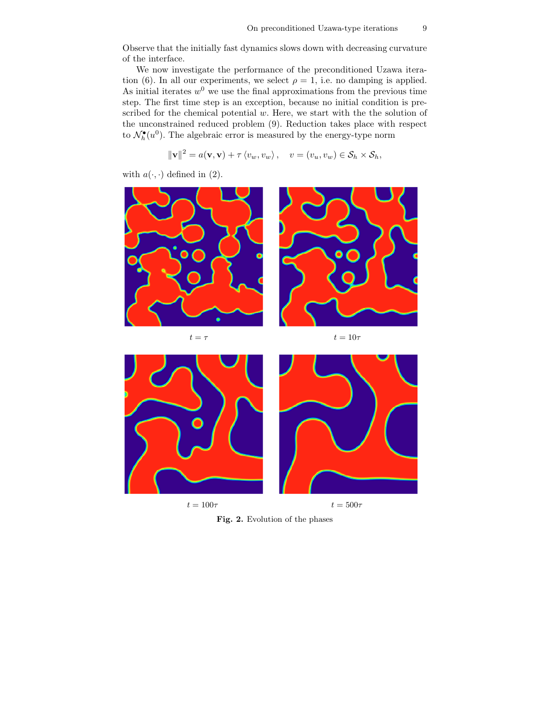Observe that the initially fast dynamics slows down with decreasing curvature of the interface.

We now investigate the performance of the preconditioned Uzawa iteration (6). In all our experiments, we select  $\rho = 1$ , i.e. no damping is applied. As initial iterates  $w^0$  we use the final approximations from the previous time step. The first time step is an exception, because no initial condition is prescribed for the chemical potential  $w$ . Here, we start with the the solution of the unconstrained reduced problem (9). Reduction takes place with respect to  $\mathcal{N}_h^{\bullet}(u^0)$ . The algebraic error is measured by the energy-type norm

$$
\|\mathbf{v}\|^2 = a(\mathbf{v}, \mathbf{v}) + \tau \langle v_w, v_w \rangle, \quad v = (v_u, v_w) \in \mathcal{S}_h \times \mathcal{S}_h,
$$

with  $a(\cdot, \cdot)$  defined in (2).



**Fig. 2.** Evolution of the phases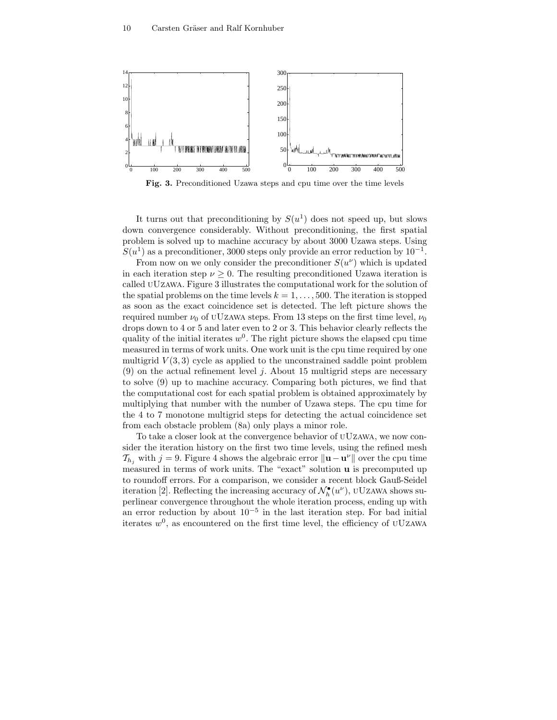

**Fig. 3.** Preconditioned Uzawa steps and cpu time over the time levels

It turns out that preconditioning by  $S(u^1)$  does not speed up, but slows down convergence considerably. Without preconditioning, the first spatial problem is solved up to machine accuracy by about 3000 Uzawa steps. Using  $S(u^1)$  as a preconditioner, 3000 steps only provide an error reduction by  $10^{-1}$ .

From now on we only consider the preconditioner  $S(u^{\nu})$  which is updated in each iteration step  $\nu \geq 0$ . The resulting preconditioned Uzawa iteration is called uUzawa. Figure 3 illustrates the computational work for the solution of the spatial problems on the time levels  $k = 1, \ldots, 500$ . The iteration is stopped as soon as the exact coincidence set is detected. The left picture shows the required number  $\nu_0$  of UUzawa steps. From 13 steps on the first time level,  $\nu_0$ drops down to 4 or 5 and later even to 2 or 3. This behavior clearly reflects the quality of the initial iterates  $w^0$ . The right picture shows the elapsed cpu time measured in terms of work units. One work unit is the cpu time required by one multigrid  $V(3,3)$  cycle as applied to the unconstrained saddle point problem (9) on the actual refinement level  $j$ . About 15 multigrid steps are necessary to solve (9) up to machine accuracy. Comparing both pictures, we find that the computational cost for each spatial problem is obtained approximately by multiplying that number with the number of Uzawa steps. The cpu time for the 4 to 7 monotone multigrid steps for detecting the actual coincidence set from each obstacle problem (8a) only plays a minor role.

To take a closer look at the convergence behavior of uUzawa, we now consider the iteration history on the first two time levels, using the refined mesh  $\mathcal{T}_{h_i}$  with  $j = 9$ . Figure 4 shows the algebraic error  $\|\mathbf{u} - \mathbf{u}^{\nu}\|$  over the cpu time measured in terms of work units. The "exact" solution **u** is precomputed up to roundoff errors. For a comparison, we consider a recent block Gauß-Seidel iteration [2]. Reflecting the increasing accuracy of  $\mathcal{N}_h^{\bullet}(u^{\nu})$ , uUzawa shows superlinear convergence throughout the whole iteration process, ending up with an error reduction by about  $10^{-5}$  in the last iteration step. For bad initial iterates  $w^0$ , as encountered on the first time level, the efficiency of UUzawa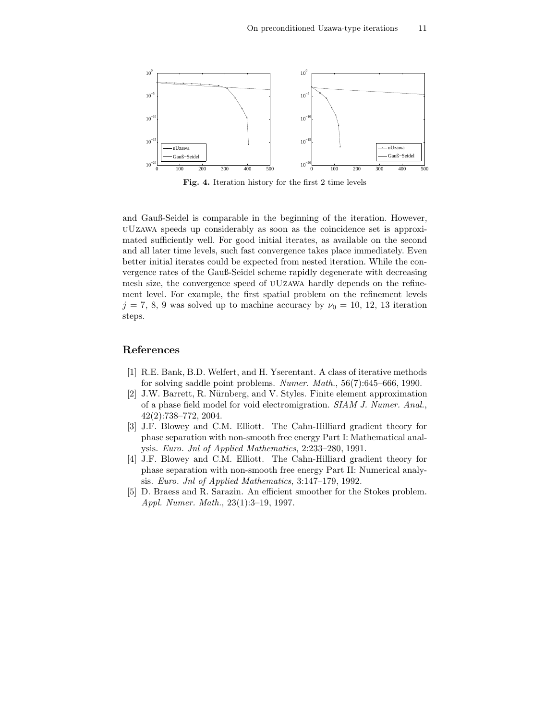

**Fig. 4.** Iteration history for the first 2 time levels

and Gauß-Seidel is comparable in the beginning of the iteration. However, uUzawa speeds up considerably as soon as the coincidence set is approximated sufficiently well. For good initial iterates, as available on the second and all later time levels, such fast convergence takes place immediately. Even better initial iterates could be expected from nested iteration. While the convergence rates of the Gauß-Seidel scheme rapidly degenerate with decreasing mesh size, the convergence speed of uUzawa hardly depends on the refinement level. For example, the first spatial problem on the refinement levels  $j = 7, 8, 9$  was solved up to machine accuracy by  $\nu_0 = 10, 12, 13$  iteration steps.

## **References**

- [1] R.E. Bank, B.D. Welfert, and H. Yserentant. A class of iterative methods for solving saddle point problems. *Numer. Math.*, 56(7):645–666, 1990.
- [2] J.W. Barrett, R. Nürnberg, and V. Styles. Finite element approximation of a phase field model for void electromigration. *SIAM J. Numer. Anal.*, 42(2):738–772, 2004.
- [3] J.F. Blowey and C.M. Elliott. The Cahn-Hilliard gradient theory for phase separation with non-smooth free energy Part I: Mathematical analysis. *Euro. Jnl of Applied Mathematics*, 2:233–280, 1991.
- [4] J.F. Blowey and C.M. Elliott. The Cahn-Hilliard gradient theory for phase separation with non-smooth free energy Part II: Numerical analysis. *Euro. Jnl of Applied Mathematics*, 3:147–179, 1992.
- [5] D. Braess and R. Sarazin. An efficient smoother for the Stokes problem. *Appl. Numer. Math.*, 23(1):3–19, 1997.